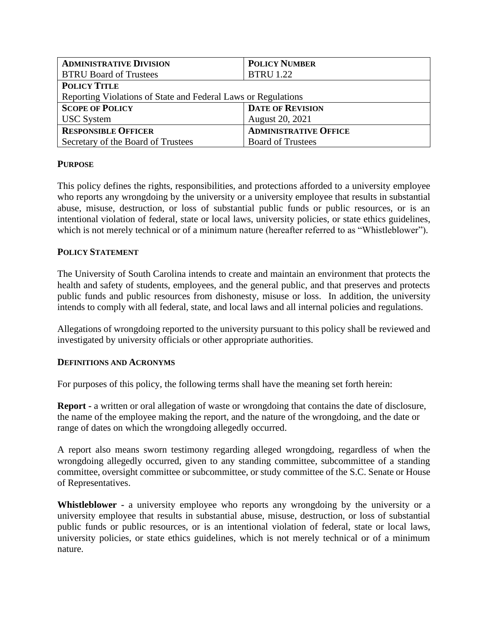| <b>ADMINISTRATIVE DIVISION</b>                                | <b>POLICY NUMBER</b>         |
|---------------------------------------------------------------|------------------------------|
| <b>BTRU Board of Trustees</b>                                 | <b>BTRU 1.22</b>             |
| <b>POLICY TITLE</b>                                           |                              |
| Reporting Violations of State and Federal Laws or Regulations |                              |
| <b>SCOPE OF POLICY</b>                                        | <b>DATE OF REVISION</b>      |
| <b>USC</b> System                                             | August 20, 2021              |
| <b>RESPONSIBLE OFFICER</b>                                    | <b>ADMINISTRATIVE OFFICE</b> |
| Secretary of the Board of Trustees                            | <b>Board of Trustees</b>     |

## **PURPOSE**

This policy defines the rights, responsibilities, and protections afforded to a university employee who reports any wrongdoing by the university or a university employee that results in substantial abuse, misuse, destruction, or loss of substantial public funds or public resources, or is an intentional violation of federal, state or local laws, university policies, or state ethics guidelines, which is not merely technical or of a minimum nature (hereafter referred to as "Whistleblower").

## **POLICY STATEMENT**

The University of South Carolina intends to create and maintain an environment that protects the health and safety of students, employees, and the general public, and that preserves and protects public funds and public resources from dishonesty, misuse or loss. In addition, the university intends to comply with all federal, state, and local laws and all internal policies and regulations.

Allegations of wrongdoing reported to the university pursuant to this policy shall be reviewed and investigated by university officials or other appropriate authorities.

#### **DEFINITIONS AND ACRONYMS**

For purposes of this policy, the following terms shall have the meaning set forth herein:

**Report -** a written or oral allegation of waste or wrongdoing that contains the date of disclosure, the name of the employee making the report, and the nature of the wrongdoing, and the date or range of dates on which the wrongdoing allegedly occurred.

A report also means sworn testimony regarding alleged wrongdoing, regardless of when the wrongdoing allegedly occurred, given to any standing committee, subcommittee of a standing committee, oversight committee or subcommittee, or study committee of the S.C. Senate or House of Representatives.

**Whistleblower -** a university employee who reports any wrongdoing by the university or a university employee that results in substantial abuse, misuse, destruction, or loss of substantial public funds or public resources, or is an intentional violation of federal, state or local laws, university policies, or state ethics guidelines, which is not merely technical or of a minimum nature.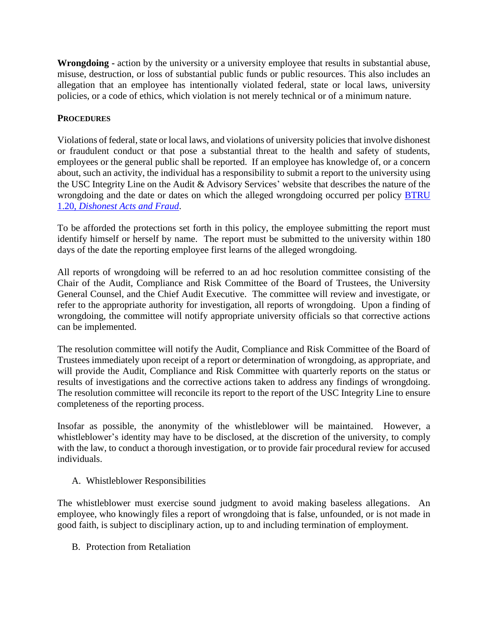**Wrongdoing -** action by the university or a university employee that results in substantial abuse, misuse, destruction, or loss of substantial public funds or public resources. This also includes an allegation that an employee has intentionally violated federal, state or local laws, university policies, or a code of ethics, which violation is not merely technical or of a minimum nature.

# **PROCEDURES**

Violations of federal, state or local laws, and violations of university policies that involve dishonest or fraudulent conduct or that pose a substantial threat to the health and safety of students, employees or the general public shall be reported. If an employee has knowledge of, or a concern about, such an activity, the individual has a responsibility to submit a report to the university using the USC Integrity Line on the Audit & Advisory Services' website that describes the nature of the wrongdoing and the date or dates on which the alleged wrongdoing occurred per policy [BTRU](https://www.sc.edu/policies/ppm/btru120.pdf)  1.20, *[Dishonest Acts and Fraud](https://www.sc.edu/policies/ppm/btru120.pdf)*.

To be afforded the protections set forth in this policy, the employee submitting the report must identify himself or herself by name. The report must be submitted to the university within 180 days of the date the reporting employee first learns of the alleged wrongdoing.

All reports of wrongdoing will be referred to an ad hoc resolution committee consisting of the Chair of the Audit, Compliance and Risk Committee of the Board of Trustees, the University General Counsel, and the Chief Audit Executive. The committee will review and investigate, or refer to the appropriate authority for investigation, all reports of wrongdoing. Upon a finding of wrongdoing, the committee will notify appropriate university officials so that corrective actions can be implemented.

The resolution committee will notify the Audit, Compliance and Risk Committee of the Board of Trustees immediately upon receipt of a report or determination of wrongdoing, as appropriate, and will provide the Audit, Compliance and Risk Committee with quarterly reports on the status or results of investigations and the corrective actions taken to address any findings of wrongdoing. The resolution committee will reconcile its report to the report of the USC Integrity Line to ensure completeness of the reporting process.

Insofar as possible, the anonymity of the whistleblower will be maintained. However, a whistleblower's identity may have to be disclosed, at the discretion of the university, to comply with the law, to conduct a thorough investigation, or to provide fair procedural review for accused individuals.

A. Whistleblower Responsibilities

The whistleblower must exercise sound judgment to avoid making baseless allegations. An employee, who knowingly files a report of wrongdoing that is false, unfounded, or is not made in good faith, is subject to disciplinary action, up to and including termination of employment.

B. Protection from Retaliation